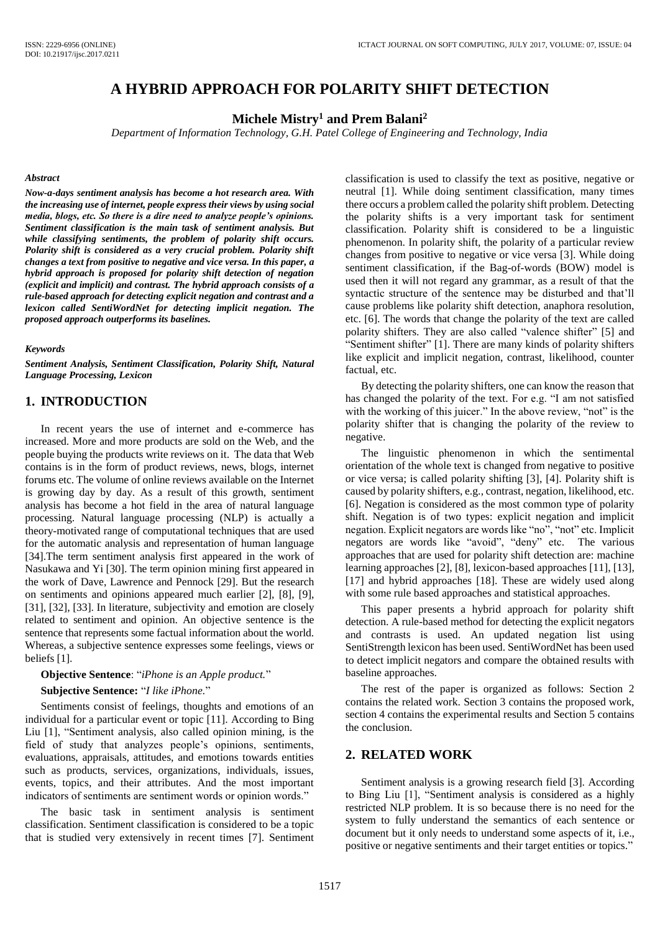# **A HYBRID APPROACH FOR POLARITY SHIFT DETECTION**

**Michele Mistry<sup>1</sup> and Prem Balani<sup>2</sup>**

*Department of Information Technology, G.H. Patel College of Engineering and Technology, India*

#### *Abstract*

*Now-a-days sentiment analysis has become a hot research area. With the increasing use of internet, people express their views by using social media, blogs, etc. So there is a dire need to analyze people's opinions. Sentiment classification is the main task of sentiment analysis. But while classifying sentiments, the problem of polarity shift occurs. Polarity shift is considered as a very crucial problem. Polarity shift changes a text from positive to negative and vice versa. In this paper, a hybrid approach is proposed for polarity shift detection of negation (explicit and implicit) and contrast. The hybrid approach consists of a rule-based approach for detecting explicit negation and contrast and a lexicon called SentiWordNet for detecting implicit negation. The proposed approach outperforms its baselines.*

#### *Keywords*

*Sentiment Analysis, Sentiment Classification, Polarity Shift, Natural Language Processing, Lexicon*

# **1. INTRODUCTION**

In recent years the use of internet and e-commerce has increased. More and more products are sold on the Web, and the people buying the products write reviews on it. The data that Web contains is in the form of product reviews, news, blogs, internet forums etc. The volume of online reviews available on the Internet is growing day by day. As a result of this growth, sentiment analysis has become a hot field in the area of natural language processing. Natural language processing (NLP) is actually a theory-motivated range of computational techniques that are used for the automatic analysis and representation of human language [34].The term sentiment analysis first appeared in the work of Nasukawa and Yi [30]. The term opinion mining first appeared in the work of Dave, Lawrence and Pennock [29]. But the research on sentiments and opinions appeared much earlier [2], [8], [9], [31], [32], [33]. In literature, subjectivity and emotion are closely related to sentiment and opinion. An objective sentence is the sentence that represents some factual information about the world. Whereas, a subjective sentence expresses some feelings, views or beliefs [1].

#### **Objective Sentence**: "*iPhone is an Apple product.*"

#### **Subjective Sentence:** "*I like iPhone.*"

Sentiments consist of feelings, thoughts and emotions of an individual for a particular event or topic [11]. According to Bing Liu [1], "Sentiment analysis, also called opinion mining, is the field of study that analyzes people's opinions, sentiments, evaluations, appraisals, attitudes, and emotions towards entities such as products, services, organizations, individuals, issues, events, topics, and their attributes. And the most important indicators of sentiments are sentiment words or opinion words."

The basic task in sentiment analysis is sentiment classification. Sentiment classification is considered to be a topic that is studied very extensively in recent times [7]. Sentiment classification is used to classify the text as positive, negative or neutral [1]. While doing sentiment classification, many times there occurs a problem called the polarity shift problem. Detecting the polarity shifts is a very important task for sentiment classification. Polarity shift is considered to be a linguistic phenomenon. In polarity shift, the polarity of a particular review changes from positive to negative or vice versa [3]. While doing sentiment classification, if the Bag-of-words (BOW) model is used then it will not regard any grammar, as a result of that the syntactic structure of the sentence may be disturbed and that'll cause problems like polarity shift detection, anaphora resolution, etc. [6]. The words that change the polarity of the text are called polarity shifters. They are also called "valence shifter" [5] and "Sentiment shifter" [1]. There are many kinds of polarity shifters like explicit and implicit negation, contrast, likelihood, counter factual, etc.

By detecting the polarity shifters, one can know the reason that has changed the polarity of the text. For e.g. "I am not satisfied with the working of this juicer." In the above review, "not" is the polarity shifter that is changing the polarity of the review to negative.

The linguistic phenomenon in which the sentimental orientation of the whole text is changed from negative to positive or vice versa; is called polarity shifting [3], [4]. Polarity shift is caused by polarity shifters, e.g., contrast, negation, likelihood, etc. [6]. Negation is considered as the most common type of polarity shift. Negation is of two types: explicit negation and implicit negation. Explicit negators are words like "no", "not" etc. Implicit negators are words like "avoid", "deny" etc. The various approaches that are used for polarity shift detection are: machine learning approaches [2], [8], lexicon-based approaches [11], [13], [17] and hybrid approaches [18]. These are widely used along with some rule based approaches and statistical approaches.

This paper presents a hybrid approach for polarity shift detection. A rule-based method for detecting the explicit negators and contrasts is used. An updated negation list using SentiStrength lexicon has been used. SentiWordNet has been used to detect implicit negators and compare the obtained results with baseline approaches.

The rest of the paper is organized as follows: Section 2 contains the related work. Section 3 contains the proposed work, section 4 contains the experimental results and Section 5 contains the conclusion.

### **2. RELATED WORK**

Sentiment analysis is a growing research field [3]. According to Bing Liu [1], "Sentiment analysis is considered as a highly restricted NLP problem. It is so because there is no need for the system to fully understand the semantics of each sentence or document but it only needs to understand some aspects of it, i.e., positive or negative sentiments and their target entities or topics."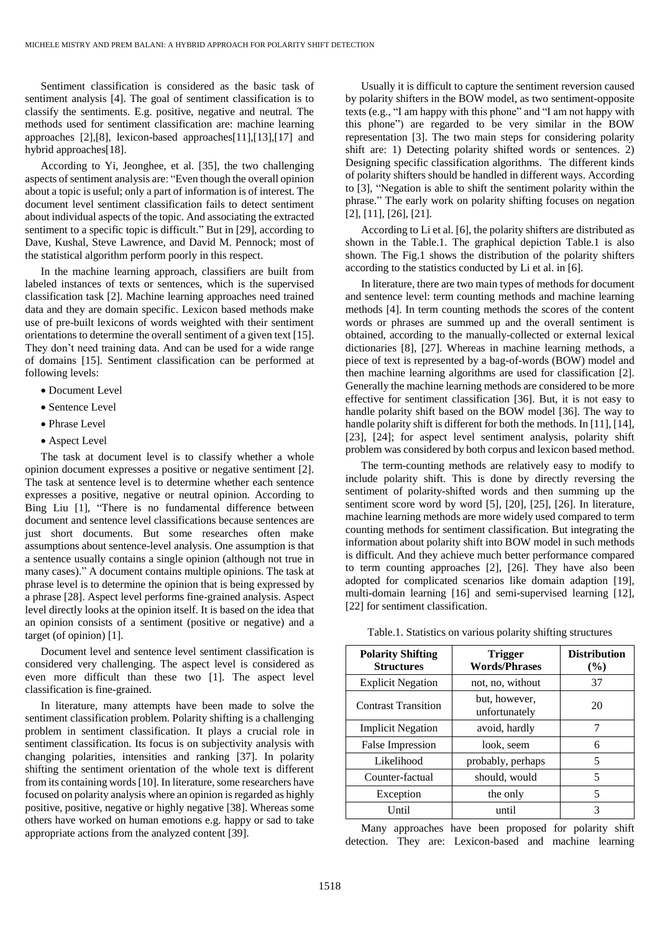Sentiment classification is considered as the basic task of sentiment analysis [4]. The goal of sentiment classification is to classify the sentiments. E.g. positive, negative and neutral. The methods used for sentiment classification are: machine learning approaches [2],[8], lexicon-based approaches[11],[13],[17] and hybrid approaches[18].

According to Yi, Jeonghee, et al. [35], the two challenging aspects of sentiment analysis are: "Even though the overall opinion about a topic is useful; only a part of information is of interest. The document level sentiment classification fails to detect sentiment about individual aspects of the topic. And associating the extracted sentiment to a specific topic is difficult." But in [29], according to Dave, Kushal, Steve Lawrence, and David M. Pennock; most of the statistical algorithm perform poorly in this respect.

In the machine learning approach, classifiers are built from labeled instances of texts or sentences, which is the supervised classification task [2]. Machine learning approaches need trained data and they are domain specific. Lexicon based methods make use of pre-built lexicons of words weighted with their sentiment orientations to determine the overall sentiment of a given text [15]. They don't need training data. And can be used for a wide range of domains [15]. Sentiment classification can be performed at following levels:

- Document Level
- Sentence Level
- Phrase Level
- Aspect Level

The task at document level is to classify whether a whole opinion document expresses a positive or negative sentiment [2]. The task at sentence level is to determine whether each sentence expresses a positive, negative or neutral opinion. According to Bing Liu [1], "There is no fundamental difference between document and sentence level classifications because sentences are just short documents. But some researches often make assumptions about sentence-level analysis. One assumption is that a sentence usually contains a single opinion (although not true in many cases)." A document contains multiple opinions. The task at phrase level is to determine the opinion that is being expressed by a phrase [28]. Aspect level performs fine-grained analysis. Aspect level directly looks at the opinion itself. It is based on the idea that an opinion consists of a sentiment (positive or negative) and a target (of opinion) [1].

Document level and sentence level sentiment classification is considered very challenging. The aspect level is considered as even more difficult than these two [1]. The aspect level classification is fine-grained.

In literature, many attempts have been made to solve the sentiment classification problem. Polarity shifting is a challenging problem in sentiment classification. It plays a crucial role in sentiment classification. Its focus is on subjectivity analysis with changing polarities, intensities and ranking [37]. In polarity shifting the sentiment orientation of the whole text is different from its containing words [10]. In literature, some researchers have focused on polarity analysis where an opinion is regarded as highly positive, positive, negative or highly negative [38]. Whereas some others have worked on human emotions e.g. happy or sad to take appropriate actions from the analyzed content [39].

Usually it is difficult to capture the sentiment reversion caused by polarity shifters in the BOW model, as two sentiment-opposite texts (e.g., "I am happy with this phone" and "I am not happy with this phone") are regarded to be very similar in the BOW representation [3]. The two main steps for considering polarity shift are: 1) Detecting polarity shifted words or sentences. 2) Designing specific classification algorithms. The different kinds of polarity shifters should be handled in different ways. According to [3], "Negation is able to shift the sentiment polarity within the phrase." The early work on polarity shifting focuses on negation [2], [11], [26], [21].

According to Li et al. [6], the polarity shifters are distributed as shown in the Table.1. The graphical depiction Table.1 is also shown. The Fig.1 shows the distribution of the polarity shifters according to the statistics conducted by Li et al. in [6].

In literature, there are two main types of methods for document and sentence level: term counting methods and machine learning methods [4]. In term counting methods the scores of the content words or phrases are summed up and the overall sentiment is obtained, according to the manually-collected or external lexical dictionaries [8], [27]. Whereas in machine learning methods, a piece of text is represented by a bag-of-words (BOW) model and then machine learning algorithms are used for classification [2]. Generally the machine learning methods are considered to be more effective for sentiment classification [36]. But, it is not easy to handle polarity shift based on the BOW model [36]. The way to handle polarity shift is different for both the methods. In [11], [14], [23], [24]; for aspect level sentiment analysis, polarity shift problem was considered by both corpus and lexicon based method.

The term-counting methods are relatively easy to modify to include polarity shift. This is done by directly reversing the sentiment of polarity-shifted words and then summing up the sentiment score word by word [5], [20], [25], [26]. In literature, machine learning methods are more widely used compared to term counting methods for sentiment classification. But integrating the information about polarity shift into BOW model in such methods is difficult. And they achieve much better performance compared to term counting approaches [2], [26]. They have also been adopted for complicated scenarios like domain adaption [19], multi-domain learning [16] and semi-supervised learning [12], [22] for sentiment classification.

| <b>Polarity Shifting</b><br><b>Structures</b> | <b>Trigger</b><br><b>Words/Phrases</b> | <b>Distribution</b><br>(%) |
|-----------------------------------------------|----------------------------------------|----------------------------|
| <b>Explicit Negation</b>                      | not, no, without                       | 37                         |
| <b>Contrast Transition</b>                    | but, however,<br>unfortunately         | 20                         |
| <b>Implicit Negation</b>                      | avoid, hardly                          | 7                          |
| False Impression                              | look, seem                             | 6                          |
| Likelihood                                    | probably, perhaps                      | 5                          |
| Counter-factual                               | should, would                          | 5                          |
| Exception                                     | the only                               | 5                          |
| Until                                         | until                                  | 3                          |

Table.1. Statistics on various polarity shifting structures

Many approaches have been proposed for polarity shift detection. They are: Lexicon-based and machine learning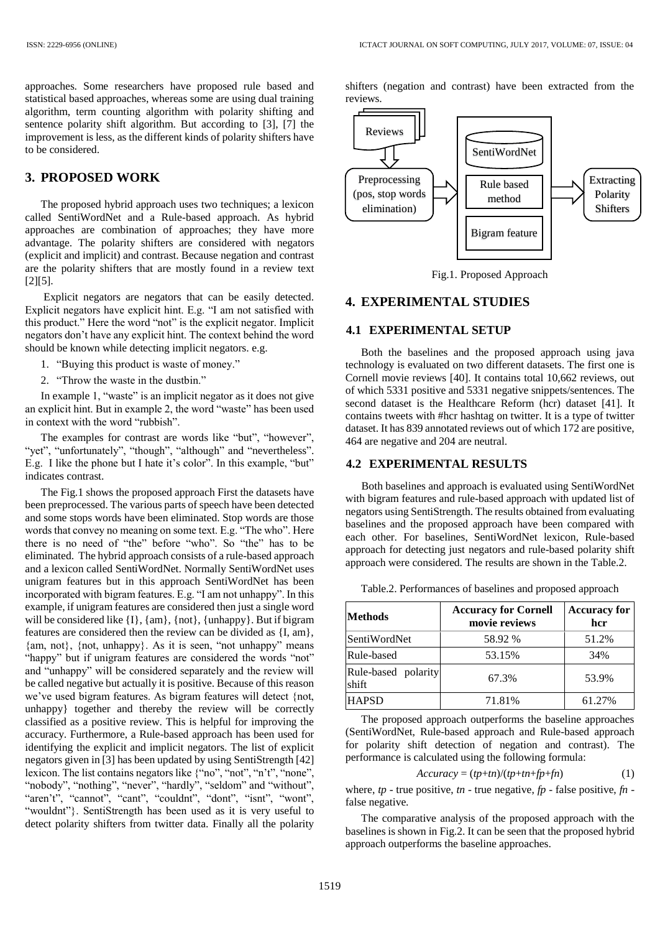approaches. Some researchers have proposed rule based and statistical based approaches, whereas some are using dual training algorithm, term counting algorithm with polarity shifting and sentence polarity shift algorithm. But according to [3], [7] the improvement is less, as the different kinds of polarity shifters have to be considered.

# **3. PROPOSED WORK**

The proposed hybrid approach uses two techniques; a lexicon called SentiWordNet and a Rule-based approach. As hybrid approaches are combination of approaches; they have more advantage. The polarity shifters are considered with negators (explicit and implicit) and contrast. Because negation and contrast are the polarity shifters that are mostly found in a review text [2][5].

Explicit negators are negators that can be easily detected. Explicit negators have explicit hint. E.g. "I am not satisfied with this product." Here the word "not" is the explicit negator. Implicit negators don't have any explicit hint. The context behind the word should be known while detecting implicit negators. e.g.

- 1. "Buying this product is waste of money."
- 2. "Throw the waste in the dustbin."

In example 1, "waste" is an implicit negator as it does not give an explicit hint. But in example 2, the word "waste" has been used in context with the word "rubbish".

The examples for contrast are words like "but", "however", "yet", "unfortunately", "though", "although" and "nevertheless". E.g. I like the phone but I hate it's color". In this example, "but" indicates contrast.

The Fig.1 shows the proposed approach First the datasets have been preprocessed. The various parts of speech have been detected and some stops words have been eliminated. Stop words are those words that convey no meaning on some text. E.g. "The who". Here there is no need of "the" before "who". So "the" has to be eliminated. The hybrid approach consists of a rule-based approach and a lexicon called SentiWordNet. Normally SentiWordNet uses unigram features but in this approach SentiWordNet has been incorporated with bigram features. E.g. "I am not unhappy". In this example, if unigram features are considered then just a single word will be considered like  $\{I\}$ ,  $\{\text{am}\}$ ,  $\{\text{not}\}$ ,  $\{\text{unhappy}\}$ . But if bigram features are considered then the review can be divided as {I, am}, {am, not}, {not, unhappy}. As it is seen, "not unhappy" means "happy" but if unigram features are considered the words "not" and "unhappy" will be considered separately and the review will be called negative but actually it is positive. Because of this reason we've used bigram features. As bigram features will detect {not, unhappy} together and thereby the review will be correctly classified as a positive review. This is helpful for improving the accuracy. Furthermore, a Rule-based approach has been used for identifying the explicit and implicit negators. The list of explicit negators given in [3] has been updated by using SentiStrength [42] lexicon. The list contains negators like {"no", "not", "n't", "none", "nobody", "nothing", "never", "hardly", "seldom" and "without", "aren't", "cannot", "cant", "couldnt", "dont", "isnt", "wont", "wouldnt"}. SentiStrength has been used as it is very useful to detect polarity shifters from twitter data. Finally all the polarity

shifters (negation and contrast) have been extracted from the reviews.



Fig.1. Proposed Approach

# **4. EXPERIMENTAL STUDIES**

### **4.1 EXPERIMENTAL SETUP**

Both the baselines and the proposed approach using java technology is evaluated on two different datasets. The first one is Cornell movie reviews [40]. It contains total 10,662 reviews, out of which 5331 positive and 5331 negative snippets/sentences. The second dataset is the Healthcare Reform (hcr) dataset [41]. It contains tweets with #hcr hashtag on twitter. It is a type of twitter dataset. It has 839 annotated reviews out of which 172 are positive, 464 are negative and 204 are neutral.

### **4.2 EXPERIMENTAL RESULTS**

Both baselines and approach is evaluated using SentiWordNet with bigram features and rule-based approach with updated list of negators using SentiStrength. The results obtained from evaluating baselines and the proposed approach have been compared with each other. For baselines, SentiWordNet lexicon, Rule-based approach for detecting just negators and rule-based polarity shift approach were considered. The results are shown in the Table.2.

Table.2. Performances of baselines and proposed approach

| <b>Methods</b>               | <b>Accuracy for Cornell</b><br>movie reviews | <b>Accuracy for</b><br>hcr |
|------------------------------|----------------------------------------------|----------------------------|
| SentiWordNet                 | 58.92 %                                      | 51.2%                      |
| Rule-based                   | 53.15%                                       | 34%                        |
| Rule-based polarity<br>shift | 67.3%                                        | 53.9%                      |
| <b>HAPSD</b>                 | 71.81%                                       | 61.27%                     |

The proposed approach outperforms the baseline approaches (SentiWordNet, Rule-based approach and Rule-based approach for polarity shift detection of negation and contrast). The performance is calculated using the following formula:

$$
Accuracy = (tp+tn)/(tp+tn+fp+fn)
$$
 (1)

where, *tp* - true positive, *tn* - true negative, *fp* - false positive, *fn* false negative.

The comparative analysis of the proposed approach with the baselines is shown in Fig.2. It can be seen that the proposed hybrid approach outperforms the baseline approaches.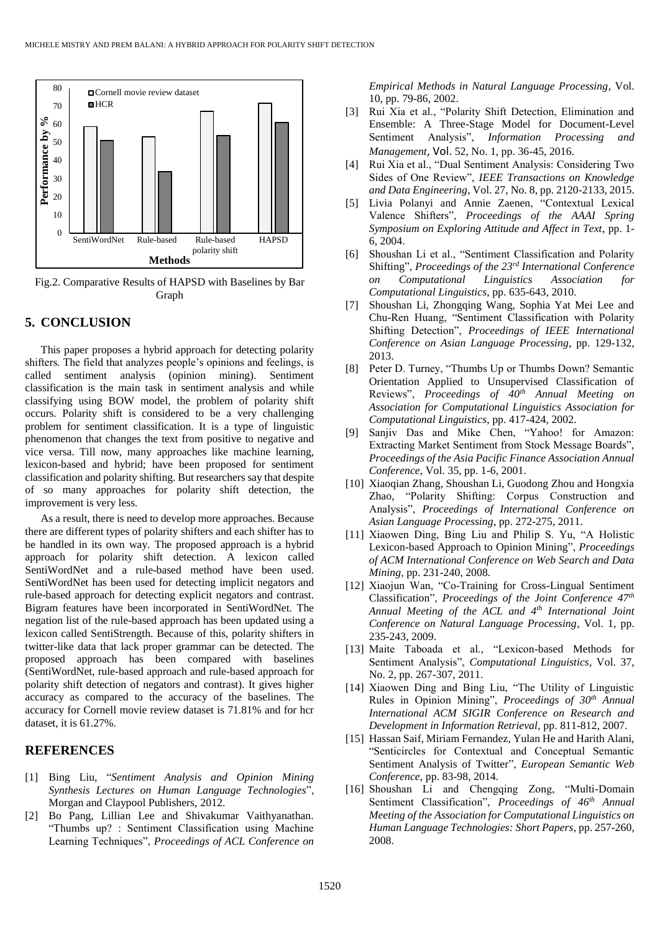

Fig.2. Comparative Results of HAPSD with Baselines by Bar Graph

### **5. CONCLUSION**

This paper proposes a hybrid approach for detecting polarity shifters. The field that analyzes people's opinions and feelings, is called sentiment analysis (opinion mining). Sentiment classification is the main task in sentiment analysis and while classifying using BOW model, the problem of polarity shift occurs. Polarity shift is considered to be a very challenging problem for sentiment classification. It is a type of linguistic phenomenon that changes the text from positive to negative and vice versa. Till now, many approaches like machine learning, lexicon-based and hybrid; have been proposed for sentiment classification and polarity shifting. But researchers say that despite of so many approaches for polarity shift detection, the improvement is very less.

As a result, there is need to develop more approaches. Because there are different types of polarity shifters and each shifter has to be handled in its own way. The proposed approach is a hybrid approach for polarity shift detection. A lexicon called SentiWordNet and a rule-based method have been used. SentiWordNet has been used for detecting implicit negators and rule-based approach for detecting explicit negators and contrast. Bigram features have been incorporated in SentiWordNet. The negation list of the rule-based approach has been updated using a lexicon called SentiStrength. Because of this, polarity shifters in twitter-like data that lack proper grammar can be detected. The proposed approach has been compared with baselines (SentiWordNet, rule-based approach and rule-based approach for polarity shift detection of negators and contrast). It gives higher accuracy as compared to the accuracy of the baselines. The accuracy for Cornell movie review dataset is 71.81% and for hcr dataset, it is 61.27%.

# **REFERENCES**

- [1] Bing Liu, "*Sentiment Analysis and Opinion Mining Synthesis Lectures on Human Language Technologies*", Morgan and Claypool Publishers, 2012.
- [2] Bo Pang, Lillian Lee and Shivakumar Vaithyanathan. "Thumbs up? : Sentiment Classification using Machine Learning Techniques", *Proceedings of ACL Conference on*

*Empirical Methods in Natural Language Processing*, Vol. 10, pp. 79-86, 2002.

- [3] Rui Xia et al., "Polarity Shift Detection, Elimination and Ensemble: A Three-Stage Model for Document-Level Sentiment Analysis", *Information Processing and Management*, Vol. 52, No. 1, pp. 36-45, 2016.
- [4] Rui Xia et al., "Dual Sentiment Analysis: Considering Two Sides of One Review", *IEEE Transactions on Knowledge and Data Engineering*, Vol. 27, No. 8, pp. 2120-2133, 2015.
- [5] Livia Polanyi and Annie Zaenen, "Contextual Lexical Valence Shifters", *Proceedings of the AAAI Spring Symposium on Exploring Attitude and Affect in Text*, pp. 1- 6, 2004.
- [6] Shoushan Li et al., "Sentiment Classification and Polarity Shifting", *Proceedings of the 23rd International Conference on Computational Linguistics Association for Computational Linguistics*, pp. 635-643, 2010.
- [7] Shoushan Li, Zhongqing Wang, Sophia Yat Mei Lee and Chu-Ren Huang, "Sentiment Classification with Polarity Shifting Detection", *Proceedings of IEEE International Conference on Asian Language Processing*, pp. 129-132, 2013.
- [8] Peter D. Turney, "Thumbs Up or Thumbs Down? Semantic Orientation Applied to Unsupervised Classification of Reviews", *Proceedings of 40th Annual Meeting on Association for Computational Linguistics Association for Computational Linguistics*, pp. 417-424, 2002.
- [9] Sanjiv Das and Mike Chen, "Yahoo! for Amazon: Extracting Market Sentiment from Stock Message Boards", *Proceedings of the Asia Pacific Finance Association Annual Conference*, Vol. 35, pp. 1-6, 2001.
- [10] Xiaoqian Zhang, Shoushan Li, Guodong Zhou and Hongxia Zhao, "Polarity Shifting: Corpus Construction and Analysis", *Proceedings of International Conference on Asian Language Processing*, pp. 272-275, 2011.
- [11] Xiaowen Ding, Bing Liu and Philip S. Yu, "A Holistic Lexicon-based Approach to Opinion Mining", *Proceedings of ACM International Conference on Web Search and Data Mining*, pp. 231-240, 2008.
- [12] Xiaojun Wan, "Co-Training for Cross-Lingual Sentiment Classification", *Proceedings of the Joint Conference 47th Annual Meeting of the ACL and 4th International Joint Conference on Natural Language Processing*, Vol. 1, pp. 235-243, 2009.
- [13] Maite Taboada et al., "Lexicon-based Methods for Sentiment Analysis", *Computational Linguistics*, Vol. 37, No. 2, pp. 267-307, 2011.
- [14] Xiaowen Ding and Bing Liu, "The Utility of Linguistic Rules in Opinion Mining", *Proceedings of 30th Annual International ACM SIGIR Conference on Research and Development in Information Retrieval*, pp. 811-812, 2007.
- [15] Hassan Saif, Miriam Fernandez, Yulan He and Harith Alani, "Senticircles for Contextual and Conceptual Semantic Sentiment Analysis of Twitter", *European Semantic Web Conference*, pp. 83-98, 2014.
- [16] Shoushan Li and Chengqing Zong, "Multi-Domain Sentiment Classification", *Proceedings of 46th Annual Meeting of the Association for Computational Linguistics on Human Language Technologies: Short Papers*, pp. 257-260, 2008.